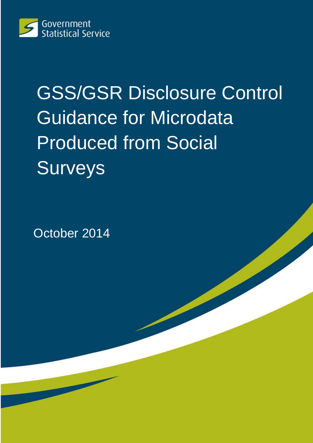

# GSS/GSR Disclosure Control Guidance for Microdata Produced from Social Surveys

October 2014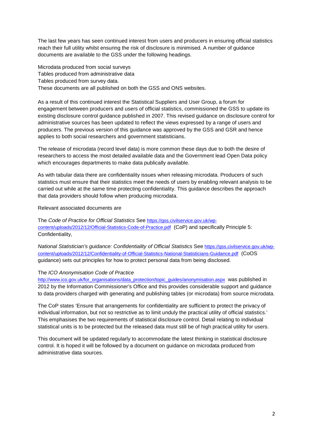The last few years has seen continued interest from users and producers in ensuring official statistics reach their full utility whilst ensuring the risk of disclosure is minimised. A number of guidance documents are available to the GSS under the following headings.

Microdata produced from social surveys Tables produced from administrative data Tables produced from survey data. These documents are all published on both the GSS and ONS websites.

As a result of this continued interest the Statistical Suppliers and User Group, a forum for engagement between producers and users of official statistics, commissioned the GSS to update its existing disclosure control guidance published in 2007. This revised guidance on disclosure control for administrative sources has been updated to reflect the views expressed by a range of users and producers. The previous version of this guidance was approved by the GSS and GSR and hence applies to both social researchers and government statisticians**.**

The release of microdata (record level data) is more common these days due to both the desire of researchers to access the most detailed available data and the Government lead Open Data policy which encourages departments to make data publically available.

As with tabular data there are confidentiality issues when releasing microdata. Producers of such statistics must ensure that their statistics meet the needs of users by enabling relevant analysis to be carried out while at the same time protecting confidentiality. This guidance describes the approach that data providers should follow when producing microdata.

Relevant associated documents are

The *Code of Practice for Official Statistics* See [https://gss.civilservice.gov.uk/wp](https://gss.civilservice.gov.uk/wp-content/uploads/2012/12/Official-Statistics-Code-of-Practice.pdf)[content/uploads/2012/12/Official-Statistics-Code-of-Practice.pdf](https://gss.civilservice.gov.uk/wp-content/uploads/2012/12/Official-Statistics-Code-of-Practice.pdf) (CoP) and specifically Principle 5: Confidentiality,

*National Statistician's guidance: Confidentiality of Official Statistics* See [https://gss.civilservice.gov.uk/wp](https://gss.civilservice.gov.uk/wp-content/uploads/2012/12/Confidentiality-of-Official-Statistics-National-Statisticians-Guidance.pdf)[content/uploads/2012/12/Confidentiality-of-Official-Statistics-National-Statisticians-Guidance.pdf](https://gss.civilservice.gov.uk/wp-content/uploads/2012/12/Confidentiality-of-Official-Statistics-National-Statisticians-Guidance.pdf) (CoOS guidance) sets out principles for how to protect personal data from being disclosed.

#### The *ICO Anonymisation Code of Practice*

[http://www.ico.gov.uk/for\\_organisations/data\\_protection/topic\\_guides/anonymisation.aspx](http://www.ico.gov.uk/for_organisations/data_protection/topic_guides/anonymisation.aspx) was published in 2012 by the Information Commissioner's Office and this provides considerable support and guidance to data providers charged with generating and publishing tables (or microdata) from source microdata.

The CoP states 'Ensure that arrangements for confidentiality are sufficient to protect the privacy of individual information, but not so restrictive as to limit unduly the practical utility of official statistics.' This emphasises the two requirements of statistical disclosure control. Detail relating to individual statistical units is to be protected but the released data must still be of high practical utility for users.

This document will be updated regularly to accommodate the latest thinking in statistical disclosure control. It is hoped it will be followed by a document on guidance on microdata produced from administrative data sources.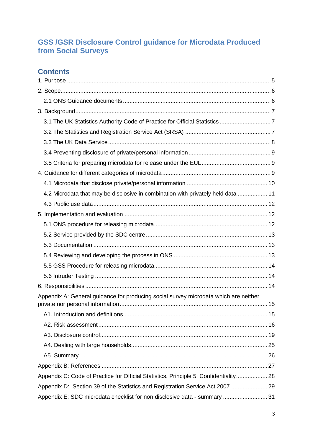# **GSS /GSR Disclosure Control guidance for Microdata Produced from Social Surveys**

# **Contents**

| 4.2 Microdata that may be disclosive in combination with privately held data  11      |  |
|---------------------------------------------------------------------------------------|--|
|                                                                                       |  |
|                                                                                       |  |
|                                                                                       |  |
|                                                                                       |  |
|                                                                                       |  |
|                                                                                       |  |
|                                                                                       |  |
|                                                                                       |  |
|                                                                                       |  |
| Appendix A: General guidance for producing social survey microdata which are neither  |  |
|                                                                                       |  |
|                                                                                       |  |
|                                                                                       |  |
|                                                                                       |  |
|                                                                                       |  |
|                                                                                       |  |
| Appendix C: Code of Practice for Official Statistics, Principle 5: Confidentiality 28 |  |
| Appendix D: Section 39 of the Statistics and Registration Service Act 2007  29        |  |
| Appendix E: SDC microdata checklist for non disclosive data - summary  31             |  |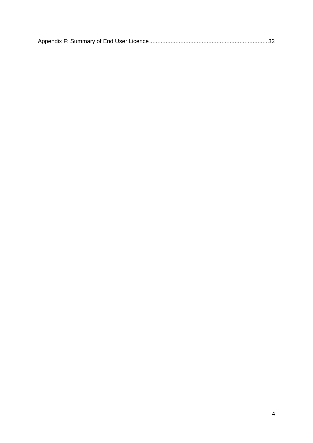<span id="page-3-0"></span>

|--|--|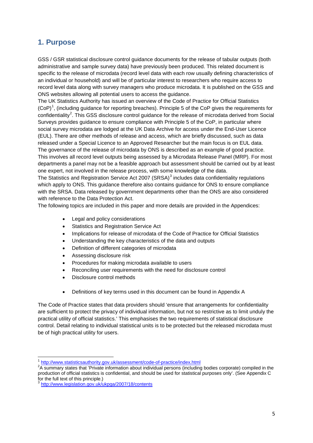# **1. Purpose**

GSS / GSR statistical disclosure control guidance documents for the release of tabular outputs (both administrative and sample survey data) have previously been produced. This related document is specific to the release of microdata (record level data with each row usually defining characteristics of an individual or household) and will be of particular interest to researchers who require access to record level data along with survey managers who produce microdata. It is published on the GSS and ONS websites allowing all potential users to access the guidance.

The UK Statistics Authority has issued an overview of the Code of Practice for Official Statistics  $(CoP)^1$  $(CoP)^1$ , (including guidance for reporting breaches). Principle 5 of the CoP gives the requirements for confidentiality<sup>[2](#page-4-1)</sup>. This GSS disclosure control guidance for the release of microdata derived from Social The governance of the release of microdata by ONS is described as an example of good practice. This involves all record level outputs being assessed by a Microdata Release Panel (MRP). For most departments a panel may not be a feasible approach but assessment should be carried out by at least one expert, not involved in the release process, with some knowledge of the data. Surveys provides guidance to ensure compliance with Principle 5 of the CoP, in particular where social survey microdata are lodged at the UK Data Archive for access under the End-User Licence (EUL). There are other methods of release and access, which are briefly discussed, such as data released under a Special Licence to an Approved Researcher but the main focus is on EUL data.

The Statistics and Registration Service Act 2007 (SRSA)<sup>[3](#page-4-2)</sup> includes data confidentiality regulations which apply to ONS. This guidance therefore also contains guidance for ONS to ensure compliance with the SRSA. Data released by government departments other than the ONS are also considered with reference to the Data Protection Act.

The following topics are included in this paper and more details are provided in the Appendices:

- Legal and policy considerations
- Statistics and Registration Service Act
- Implications for release of microdata of the Code of Practice for Official Statistics
- Understanding the key characteristics of the data and outputs
- Definition of different categories of microdata
- Assessing disclosure risk
- Procedures for making microdata available to users
- Reconciling user requirements with the need for disclosure control
- Disclosure control methods
- Definitions of key terms used in this document can be found in Appendix A

The Code of Practice states that data providers should 'ensure that arrangements for confidentiality are sufficient to protect the privacy of individual information, but not so restrictive as to limit unduly the practical utility of official statistics.' This emphasises the two requirements of statistical disclosure control. Detail relating to individual statistical units is to be protected but the released microdata must be of high practical utility for users.

.<br>-

<sup>&</sup>lt;sup>1</sup> <http://www.statisticsauthority.gov.uk/assessment/code-of-practice/index.html>

<span id="page-4-1"></span><span id="page-4-0"></span><sup>&</sup>lt;sup>2</sup>A summary states that 'Private information about individual persons (including bodies corporate) compiled in the production of official statistics is confidential, and should be used for statistical purposes only'. (See Appendix C for the full text of this principle.)

<span id="page-4-2"></span><http://www.legislation.gov.uk/ukpga/2007/18/contents>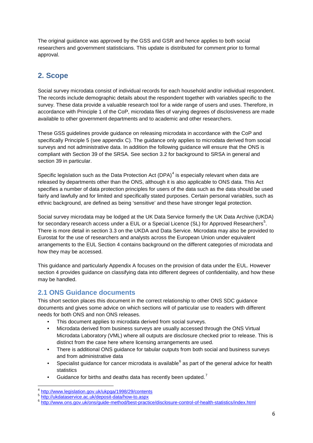The original guidance was approved by the GSS and GSR and hence applies to both social researchers and government statisticians. This update is distributed for comment prior to formal approval.

# <span id="page-5-0"></span>**2. Scope**

Social survey microdata consist of individual records for each household and/or individual respondent. The records include demographic details about the respondent together with variables specific to the survey. These data provide a valuable research tool for a wide range of users and uses. Therefore, in accordance with Principle 1 of the CoP, microdata files of varying degrees of disclosiveness are made available to other government departments and to academic and other researchers.

These GSS guidelines provide guidance on releasing microdata in accordance with the CoP and specifically Principle 5 (see appendix C). The guidance only applies to microdata derived from social surveys and not administrative data. In addition the following guidance will ensure that the ONS is compliant with Section 39 of the SRSA. See section 3.2 for background to SRSA in general and section 39 in particular.

Specific legislation such as the Data Protection Act  $(DPA)^4$  $(DPA)^4$  is especially relevant when data are released by departments other than the ONS, although it is also applicable to ONS data. This Act specifies a number of data protection principles for users of the data such as the data should be used fairly and lawfully and for limited and specifically stated purposes. Certain personal variables, such as ethnic background, are defined as being 'sensitive' and these have stronger legal protection.

Social survey microdata may be lodged at the UK Data Service formerly the UK Data Archive (UKDA) for secondary research access under a EUL or a Special Licence (SL) for Approved Researchers $^5$  $^5$ . There is more detail in section 3.3 on the UKDA and Data Service. Microdata may also be provided to Eurostat for the use of researchers and analysts across the European Union under equivalent arrangements to the EUL Section 4 contains background on the different categories of microdata and how they may be accessed.

This guidance and particularly Appendix A focuses on the provision of data under the EUL. However section 4 provides guidance on classifying data into different degrees of confidentiality, and how these may be handled.

# <span id="page-5-1"></span>**2.1 ONS Guidance documents**

This short section places this document in the correct relationship to other ONS SDC guidance documents and gives some advice on which sections will of particular use to readers with different needs for both ONS and non ONS releases.

- This document applies to microdata derived from social surveys.
- Microdata derived from business surveys are usually accessed through the ONS Virtual Microdata Laboratory (VML) where all outputs are disclosure checked prior to release. This is distinct from the case here where licensing arrangements are used.
- There is additional ONS guidance for tabular outputs from both social and business surveys and from administrative data
- Specialist guidance for cancer microdata is available<sup>[6](#page-5-4)</sup> as part of the general advice for health
- statistics<br>• Guidance for births and deaths data has recently been updated.<sup>[7](#page-5-5)</sup>

<span id="page-5-5"></span>.<br>-

<span id="page-5-3"></span><span id="page-5-2"></span>

<span id="page-5-4"></span>

<sup>4</sup> <http://www.legislation.gov.uk/ukpga/1998/29/contents><br>5 <http://ukdataservice.ac.uk/deposit-data/how-to.aspx><br>6 http://www.ons.gov.uk/ons/quide-method/best-practice/disclosure-control-of-health-statistics/index.html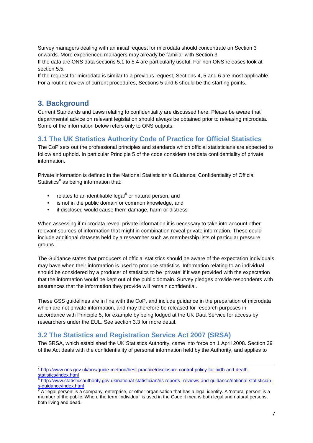Survey managers dealing with an initial request for microdata should concentrate on Section 3 onwards. More experienced managers may already be familiar with Section 3. If the data are ONS data sections 5.1 to 5.4 are particularly useful. For non ONS releases look at section 5.5.

If the request for microdata is similar to a previous request, Sections 4, 5 and 6 are most applicable. For a routine review of current procedures, Sections 5 and 6 should be the starting points.

## <span id="page-6-0"></span>**3. Background**

Current Standards and Laws relating to confidentiality are discussed here. Please be aware that departmental advice on relevant legislation should always be obtained prior to releasing microdata. Some of the information below refers only to ONS outputs.

## <span id="page-6-1"></span>**3.1 The UK Statistics Authority Code of Practice for Official Statistics**

The CoP sets out the professional principles and standards which official statisticians are expected to follow and uphold. In particular Principle 5 of the code considers the data confidentiality of private information.

Private information is defined in the National Statistician's Guidance; Confidentiality of Official Statistics $<sup>8</sup>$  $<sup>8</sup>$  $<sup>8</sup>$  as being information that:</sup>

- relates to an identifiable legal<sup>[9](#page-6-4)</sup> or natural person, and
- is not in the public domain or common knowledge, and
- if disclosed would cause them damage, harm or distress

When assessing if microdata reveal private information it is necessary to take into account other relevant sources of information that might in combination reveal private information. These could include additional datasets held by a researcher such as membership lists of particular pressure groups.

The Guidance states that producers of official statistics should be aware of the expectation individuals may have when their information is used to produce statistics. Information relating to an individual should be considered by a producer of statistics to be 'private' if it was provided with the expectation that the information would be kept out of the public domain. Survey pledges provide respondents with assurances that the information they provide will remain confidential.

These GSS guidelines are in line with the CoP, and include guidance in the preparation of microdata which are not private information, and may therefore be released for research purposes in accordance with Principle 5, for example by being lodged at the UK Data Service for access by researchers under the EUL. See section 3.3 for more detail.

## <span id="page-6-2"></span>**3.2 The Statistics and Registration Service Act 2007 (SRSA)**

The SRSA, which established the UK Statistics Authority, came into force on 1 April 2008. Section 39 of the Act deals with the confidentiality of personal information held by the Authority, and applies to

<sup>&</sup>lt;u>.</u> <sup>7</sup> [http://www.ons.gov.uk/ons/guide-method/best-practice/disclosure-control-policy-for-birth-and-death-](http://www.ons.gov.uk/ons/guide-method/best-practice/disclosure-control-policy-for-birth-and-death-statistics/index.html)

[statistics/index.html](http://www.ons.gov.uk/ons/guide-method/best-practice/disclosure-control-policy-for-birth-and-death-statistics/index.html)

<span id="page-6-3"></span><sup>&</sup>lt;sup>8</sup> http://www.statisticsauthority.gov.uk/national-statistician/ns-reports--reviews-and-guidance/national-statistician-<br>s-guidance/index.html

<span id="page-6-4"></span>A 'legal person' is a company, enterprise, or other organisation that has a legal identity. A 'natural person' is a member of the public. Where the term 'individual' is used in the Code it means both legal and natural persons, both living and dead.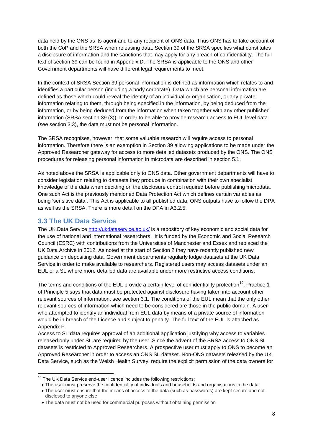data held by the ONS as its agent and to any recipient of ONS data. Thus ONS has to take account of both the CoP and the SRSA when releasing data. Section 39 of the SRSA specifies what constitutes a disclosure of information and the sanctions that may apply for any breach of confidentiality. The full text of section 39 can be found in Appendix D. The SRSA is applicable to the ONS and other Government departments will have different legal requirements to meet.

In the context of SRSA Section 39 personal information is defined as information which relates to and identifies a particular person (including a body corporate). Data which are personal information are defined as those which could reveal the identity of an individual or organisation, or any private information relating to them, through being specified in the information, by being deduced from the information, or by being deduced from the information when taken together with any other published information (SRSA section 39 (3)). In order to be able to provide research access to EUL level data (see section 3.3), the data must not be personal information.

The SRSA recognises, however, that some valuable research will require access to personal information. Therefore there is an exemption in Section 39 allowing applications to be made under the Approved Researcher gateway for access to more detailed datasets produced by the ONS. The ONS procedures for releasing personal information in microdata are described in section 5.1.

As noted above the SRSA is applicable only to ONS data. Other government departments will have to consider legislation relating to datasets they produce in combination with their own specialist knowledge of the data when deciding on the disclosure control required before publishing microdata. One such Act is the previously mentioned Data Protection Act which defines certain variables as being 'sensitive data'. This Act is applicable to all published data, ONS outputs have to follow the DPA as well as the SRSA. There is more detail on the DPA in A3.2.5.

## <span id="page-7-0"></span>**3.3 The UK Data Service**

.

The UK Data Service<http://ukdataservice.ac.uk/> is a repository of key economic and social data for the use of national and international researchers. It is funded by the Economic and Social Research Council (ESRC) with contributions from the Universities of Manchester and Essex and replaced the UK Data Archive in 2012. As noted at the start of Section 2 they have recently published new guidance on depositing data. Government departments regularly lodge datasets at the UK Data Service in order to make available to researchers. Registered users may access datasets under an EUL or a SL where more detailed data are available under more restrictive access conditions.

The terms and conditions of the EUL provide a certain level of confidentiality protection<sup>[10](#page-7-1)</sup>. Practice 1 of Principle 5 says that data must be protected against disclosure having taken into account other relevant sources of information, see section 3.1. The conditions of the EUL mean that the only other relevant sources of information which need to be considered are those in the public domain. A user who attempted to identify an individual from EUL data by means of a private source of information would be in breach of the Licence and subject to penalty. The full text of the EUL is attached as Appendix F.

Access to SL data requires approval of an additional application justifying why access to variables released only under SL are required by the user. Since the advent of the SRSA access to ONS SL datasets is restricted to Approved Researchers. A prospective user must apply to ONS to become an Approved Researcher in order to access an ONS SL dataset. Non-ONS datasets released by the UK Data Service, such as the Welsh Health Survey, require the explicit permission of the data owners for

<span id="page-7-1"></span> $10$  The UK Data Service end-user licence includes the following restrictions:

<sup>•</sup> The user must preserve the confidentiality of individuals and households and organisations in the data.

<sup>•</sup> The user must ensure that the means of access to the data (such as passwords) are kept secure and not disclosed to anyone else

<sup>•</sup> The data must not be used for commercial purposes without obtaining permission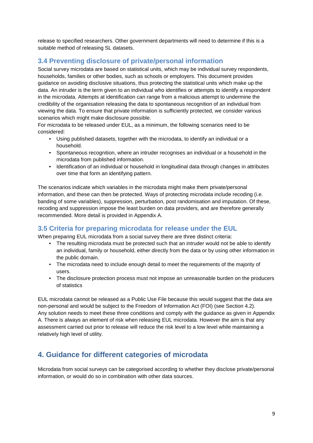release to specified researchers. Other government departments will need to determine if this is a suitable method of releasing SL datasets.

# <span id="page-8-0"></span>**3.4 Preventing disclosure of private/personal information**

Social survey microdata are based on statistical units, which may be individual survey respondents, households, families or other bodies, such as schools or employers. This document provides guidance on avoiding disclosive situations, thus protecting the statistical units which make up the data. An intruder is the term given to an individual who identifies or attempts to identify a respondent in the microdata. Attempts at identification can range from a malicious attempt to undermine the credibility of the organisation releasing the data to spontaneous recognition of an individual from viewing the data. To ensure that private information is sufficiently protected, we consider various scenarios which might make disclosure possible.

For microdata to be released under EUL, as a minimum, the following scenarios need to be considered:

- Using published datasets, together with the microdata, to identify an individual or a household.
- Spontaneous recognition, where an intruder recognises an individual or a household in the microdata from published information.
- Identification of an individual or household in longitudinal data through changes in attributes over time that form an identifying pattern.

The scenarios indicate which variables in the microdata might make them private/personal information, and these can then be protected. Ways of protecting microdata include recoding (i.e. banding of some variables), suppression, perturbation, post randomisation and imputation. Of these, recoding and suppression impose the least burden on data providers, and are therefore generally recommended. More detail is provided in Appendix A.

# <span id="page-8-1"></span>**3.5 Criteria for preparing microdata for release under the EUL**

When preparing EUL microdata from a social survey there are three distinct criteria:

- The resulting microdata must be protected such that an intruder would not be able to identify an individual, family or household, either directly from the data or by using other information in the public domain.
- The microdata need to include enough detail to meet the requirements of the majority of users.
- The disclosure protection process must not impose an unreasonable burden on the producers of statistics

EUL microdata cannot be released as a Public Use File because this would suggest that the data are non-personal and would be subject to the Freedom of Information Act (FOI) (see Section 4.2). Any solution needs to meet these three conditions and comply with the guidance as given in Appendix A. There is always an element of risk when releasing EUL microdata. However the aim is that any assessment carried out prior to release will reduce the risk level to a low level while maintaining a relatively high level of utility.

# <span id="page-8-2"></span>**4. Guidance for different categories of microdata**

Microdata from social surveys can be categorised according to whether they disclose private/personal information, or would do so in combination with other data sources.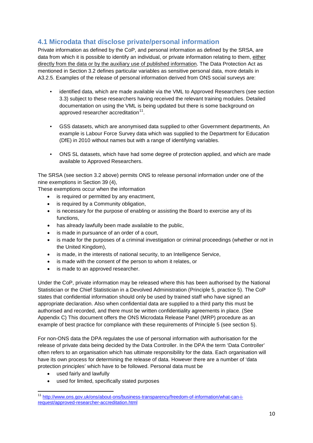# <span id="page-9-0"></span>**4.1 Microdata that disclose private/personal information**

Private information as defined by the CoP, and personal information as defined by the SRSA, are data from which it is possible to identify an individual, or private information relating to them, either directly from the data or by the auxiliary use of published information. The Data Protection Act as mentioned in Section 3.2 defines particular variables as sensitive personal data, more details in A3.2.5. Examples of the release of personal information derived from ONS social surveys are:

- identified data, which are made available via the VML to Approved Researchers (see section 3.3) subject to these researchers having received the relevant training modules. Detailed documentation on using the VML is being updated but there is some background on approved researcher accreditation $11$ .
- GSS datasets, which are anonymised data supplied to other Government departments, An example is Labour Force Survey data which was supplied to the Department for Education (DfE) in 2010 without names but with a range of identifying variables.
- ONS SL datasets, which have had some degree of protection applied, and which are made available to Approved Researchers.

The SRSA (see section 3.2 above) permits ONS to release personal information under one of the nine exemptions in Section 39 (4),

These exemptions occur when the information

- is required or permitted by any enactment,
- is required by a Community obligation,
- is necessary for the purpose of enabling or assisting the Board to exercise any of its functions,
- has already lawfully been made available to the public,
- is made in pursuance of an order of a court,
- is made for the purposes of a criminal investigation or criminal proceedings (whether or not in the United Kingdom),
- is made, in the interests of national security, to an Intelligence Service,
- is made with the consent of the person to whom it relates, or
- is made to an approved researcher.

Under the CoP, private information may be released where this has been authorised by the National Statistician or the Chief Statistician in a Devolved Administration (Principle 5, practice 5). The CoP states that confidential information should only be used by trained staff who have signed an appropriate declaration. Also when confidential data are supplied to a third party this must be authorised and recorded, and there must be written confidentiality agreements in place. (See Appendix C) This document offers the ONS Microdata Release Panel (MRP) procedure as an example of best practice for compliance with these requirements of Principle 5 (see section 5).

For non-ONS data the DPA regulates the use of personal information with authorisation for the release of private data being decided by the Data Controller. In the DPA the term 'Data Controller' often refers to an organisation which has ultimate responsibility for the data. Each organisation will have its own process for determining the release of data. However there are a number of 'data protection principles' which have to be followed. Personal data must be

• used fairly and lawfully

<u>.</u>

• used for limited, specifically stated purposes

<span id="page-9-1"></span><sup>11</sup> [http://www.ons.gov.uk/ons/about-ons/business-transparency/freedom-of-information/what-can-i](http://www.ons.gov.uk/ons/about-ons/business-transparency/freedom-of-information/what-can-i-request/approved-researcher-accreditation.html)[request/approved-researcher-accreditation.html](http://www.ons.gov.uk/ons/about-ons/business-transparency/freedom-of-information/what-can-i-request/approved-researcher-accreditation.html)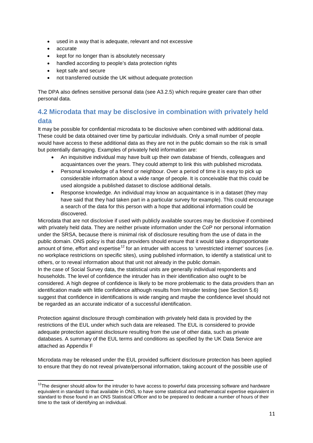- used in a way that is adequate, relevant and not excessive
- accurate

<u>.</u>

- kept for no longer than is absolutely necessary
- handled according to people's data protection rights
- kept safe and secure
- not transferred outside the UK without adequate protection

The DPA also defines sensitive personal data (see A3.2.5) which require greater care than other personal data.

# <span id="page-10-0"></span>**4.2 Microdata that may be disclosive in combination with privately held data**

It may be possible for confidential microdata to be disclosive when combined with additional data. These could be data obtained over time by particular individuals. Only a small number of people would have access to these additional data as they are not in the public domain so the risk is small but potentially damaging. Examples of privately held information are:

- An inquisitive individual may have built up their own database of friends, colleagues and acquaintances over the years. They could attempt to link this with published microdata.
- Personal knowledge of a friend or neighbour. Over a period of time it is easy to pick up considerable information about a wide range of people. It is conceivable that this could be used alongside a published dataset to disclose additional details.
- Response knowledge. An individual may know an acquaintance is in a dataset (they may have said that they had taken part in a particular survey for example). This could encourage a search of the data for this person with a hope that additional information could be discovered.

Microdata that are not disclosive if used with publicly available sources may be disclosive if combined with privately held data. They are neither private information under the CoP nor personal information under the SRSA, because there is minimal risk of disclosure resulting from the use of data in the public domain. ONS policy is that data providers should ensure that it would take a disproportionate amount of time, effort and expertise<sup>[12](#page-10-1)</sup> for an intruder with access to 'unrestricted internet' sources (i.e. no workplace restrictions on specific sites), using published information, to identify a statistical unit to others, or to reveal information about that unit not already in the public domain.

In the case of Social Survey data, the statistical units are generally individual respondents and households. The level of confidence the intruder has in their identification also ought to be considered. A high degree of confidence is likely to be more problematic to the data providers than an identification made with little confidence although results from Intruder testing (see Section 5.6) suggest that confidence in identifications is wide ranging and maybe the confidence level should not be regarded as an accurate indicator of a successful identification.

Protection against disclosure through combination with privately held data is provided by the restrictions of the EUL under which such data are released. The EUL is considered to provide adequate protection against disclosure resulting from the use of other data, such as private databases. A summary of the EUL terms and conditions as specified by the UK Data Service are attached as Appendix F

Microdata may be released under the EUL provided sufficient disclosure protection has been applied to ensure that they do not reveal private/personal information, taking account of the possible use of

<span id="page-10-1"></span><sup>&</sup>lt;sup>12</sup>The designer should allow for the intruder to have access to powerful data processing software and hardware equivalent in standard to that available in ONS, to have some statistical and mathematical expertise equivalent in standard to those found in an ONS Statistical Officer and to be prepared to dedicate a number of hours of their time to the task of identifying an individual.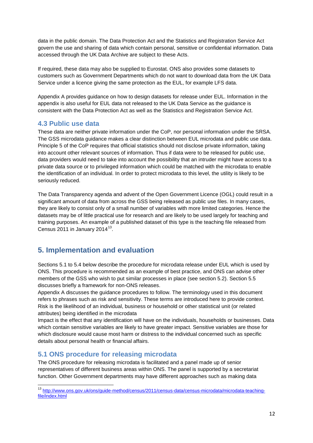data in the public domain. The Data Protection Act and the Statistics and Registration Service Act govern the use and sharing of data which contain personal, sensitive or confidential information. Data accessed through the UK Data Archive are subject to these Acts.

If required, these data may also be supplied to Eurostat. ONS also provides some datasets to customers such as Government Departments which do not want to download data from the UK Data Service under a licence giving the same protection as the EUL, for example LFS data.

Appendix A provides guidance on how to design datasets for release under EUL. Information in the appendix is also useful for EUL data not released to the UK Data Service as the guidance is consistent with the Data Protection Act as well as the Statistics and Registration Service Act.

## <span id="page-11-0"></span>**4.3 Public use data**

These data are neither private information under the CoP, nor personal information under the SRSA. The GSS microdata guidance makes a clear distinction between EUL microdata and public use data. Principle 5 of the CoP requires that official statistics should not disclose private information, taking into account other relevant sources of information. Thus if data were to be released for public use, data providers would need to take into account the possibility that an intruder might have access to a private data source or to privileged information which could be matched with the microdata to enable the identification of an individual. In order to protect microdata to this level, the utility is likely to be seriously reduced.

The Data Transparency agenda and advent of the Open Government Licence (OGL) could result in a significant amount of data from across the GSS being released as public use files. In many cases, they are likely to consist only of a small number of variables with more limited categories. Hence the datasets may be of little practical use for research and are likely to be used largely for teaching and training purposes. An example of a published dataset of this type is the teaching file released from Census 2011 in January 2014 $^{13}$  $^{13}$  $^{13}$ .

# <span id="page-11-1"></span>**5. Implementation and evaluation**

Sections 5.1 to 5.4 below describe the procedure for microdata release under EUL which is used by ONS. This procedure is recommended as an example of best practice, and ONS can advise other members of the GSS who wish to put similar processes in place (see section 5.2). Section 5.5 discusses briefly a framework for non-ONS releases.

Appendix A discusses the guidance procedures to follow. The terminology used in this document refers to phrases such as risk and sensitivity. These terms are introduced here to provide context. Risk is the likelihood of an individual, business or household or other statistical unit (or related attributes) being identified in the microdata

Impact is the effect that any identification will have on the individuals, households or businesses. Data which contain sensitive variables are likely to have greater impact. Sensitive variables are those for which disclosure would cause most harm or distress to the individual concerned such as specific details about personal health or financial affairs.

## <span id="page-11-2"></span>**5.1 ONS procedure for releasing microdata**

.<br>-

The ONS procedure for releasing microdata is facilitated and a panel made up of senior representatives of different business areas within ONS. The panel is supported by a secretariat function. Other Government departments may have different approaches such as making data

<span id="page-11-3"></span><sup>13</sup> [http://www.ons.gov.uk/ons/guide-method/census/2011/census-data/census-microdata/microdata-teaching](http://www.ons.gov.uk/ons/guide-method/census/2011/census-data/census-microdata/microdata-teaching-file/index.html)[file/index.html](http://www.ons.gov.uk/ons/guide-method/census/2011/census-data/census-microdata/microdata-teaching-file/index.html)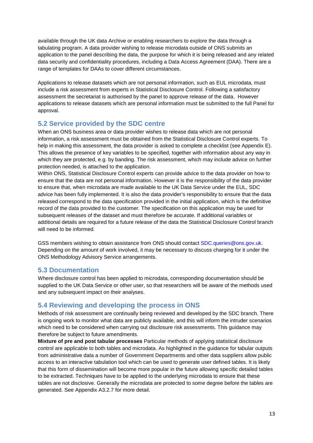available through the UK data Archive or enabling researchers to explore the data through a tabulating program. A data provider wishing to release microdata outside of ONS submits an application to the panel describing the data, the purpose for which it is being released and any related data security and confidentiality procedures, including a Data Access Agreement (DAA). There are a range of templates for DAAs to cover different circumstances.

Applications to release datasets which are not personal information, such as EUL microdata, must include a risk assessment from experts in Statistical Disclosure Control. Following a satisfactory assessment the secretariat is authorised by the panel to approve release of the data. However applications to release datasets which are personal information must be submitted to the full Panel for approval.

## <span id="page-12-0"></span>**5.2 Service provided by the SDC centre**

When an ONS business area or data provider wishes to release data which are not personal information, a risk assessment must be obtained from the Statistical Disclosure Control experts. To help in making this assessment, the data provider is asked to complete a checklist (see Appendix E). This allows the presence of key variables to be specified, together with information about any way in which they are protected, e.g. by banding. The risk assessment, which may include advice on further protection needed, is attached to the application.

Within ONS, Statistical Disclosure Control experts can provide advice to the data provider on how to ensure that the data are not personal information. However it is the responsibility of the data provider to ensure that, when microdata are made available to the UK Data Service under the EUL, SDC advice has been fully implemented. It is also the data provider's responsibility to ensure that the data released correspond to the data specification provided in the initial application, which is the definitive record of the data provided to the customer. The specification on this application may be used for subsequent releases of the dataset and must therefore be accurate. If additional variables or additional details are required for a future release of the data the Statistical Disclosure Control branch will need to be informed.

GSS members wishing to obtain assistance from ONS should contact SDC.queries@ons.gov.uk. Depending on the amount of work involved, it may be necessary to discuss charging for it under the ONS Methodology Advisory Service arrangements.

## <span id="page-12-1"></span>**5.3 Documentation**

Where disclosure control has been applied to microdata, corresponding documentation should be supplied to the UK Data Service or other user, so that researchers will be aware of the methods used and any subsequent impact on their analyses.

## <span id="page-12-2"></span>**5.4 Reviewing and developing the process in ONS**

Methods of risk assessment are continually being reviewed and developed by the SDC branch. There is ongoing work to monitor what data are publicly available, and this will inform the intruder scenarios which need to be considered when carrying out disclosure risk assessments. This guidance may therefore be subject to future amendments.

**Mixture of pre and post tabular processes** Particular methods of applying statistical disclosure control are applicable to both tables and microdata. As highlighted in the guidance for tabular outputs from administrative data a number of Government Departments and other data suppliers allow public access to an interactive tabulation tool which can be used to generate user defined tables. It is likely that this form of dissemination will become more popular in the future allowing specific detailed tables to be extracted. Techniques have to be applied to the underlying microdata to ensure that these tables are not disclosive. Generally the microdata are protected to some degree before the tables are generated. See Appendix A3.2.7 for more detail.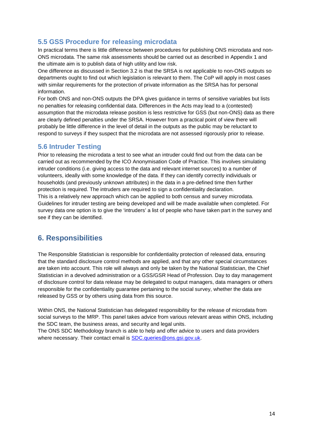# <span id="page-13-0"></span>**5.5 GSS Procedure for releasing microdata**

In practical terms there is little difference between procedures for publishing ONS microdata and non-ONS microdata. The same risk assessments should be carried out as described in Appendix 1 and the ultimate aim is to publish data of high utility and low risk.

One difference as discussed in Section 3.2 is that the SRSA is not applicable to non-ONS outputs so departments ought to find out which legislation is relevant to them. The CoP will apply in most cases with similar requirements for the protection of private information as the SRSA has for personal information.

For both ONS and non-ONS outputs the DPA gives guidance in terms of sensitive variables but lists no penalties for releasing confidential data. Differences in the Acts may lead to a (contested) assumption that the microdata release position is less restrictive for GSS (but non-ONS) data as there are clearly defined penalties under the SRSA. However from a practical point of view there will probably be little difference in the level of detail in the outputs as the public may be reluctant to respond to surveys if they suspect that the microdata are not assessed rigorously prior to release.

## <span id="page-13-1"></span>**5.6 Intruder Testing**

Prior to releasing the microdata a test to see what an intruder could find out from the data can be carried out as recommended by the ICO Anonymisation Code of Practice. This involves simulating intruder conditions (i.e. giving access to the data and relevant internet sources) to a number of volunteers, ideally with some knowledge of the data. If they can identify correctly individuals or households (and previously unknown attributes) in the data in a pre-defined time then further protection is required. The intruders are required to sign a confidentiality declaration. This is a relatively new approach which can be applied to both census and survey microdata. Guidelines for intruder testing are being developed and will be made available when completed. For survey data one option is to give the 'intruders' a list of people who have taken part in the survey and see if they can be identified.

# <span id="page-13-2"></span>**6. Responsibilities**

The Responsible Statistician is responsible for confidentiality protection of released data, ensuring that the standard disclosure control methods are applied, and that any other special circumstances are taken into account. This role will always and only be taken by the National Statistician, the Chief Statistician in a devolved administration or a GSS/GSR Head of Profession. Day to day management of disclosure control for data release may be delegated to output managers, data managers or others responsible for the confidentiality guarantee pertaining to the social survey, whether the data are released by GSS or by others using data from this source.

Within ONS, the National Statistician has delegated responsibility for the release of microdata from social surveys to the MRP. This panel takes advice from various relevant areas within ONS, including the SDC team, the business areas, and security and legal units.

<span id="page-13-3"></span>The ONS SDC Methodology branch is able to help and offer advice to users and data providers where necessary. Their contact email is SDC queries@ons.gsi.gov.uk.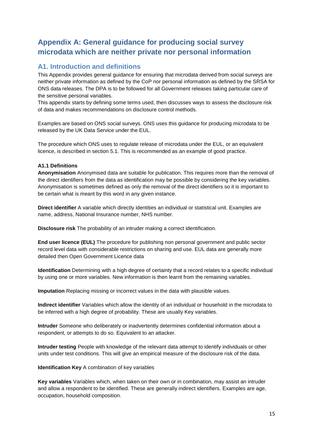# **Appendix A: General guidance for producing social survey microdata which are neither private nor personal information**

## <span id="page-14-0"></span>**A1. Introduction and definitions**

This Appendix provides general guidance for ensuring that microdata derived from social surveys are neither private information as defined by the CoP nor personal information as defined by the SRSA for ONS data releases. The DPA is to be followed for all Government releases taking particular care of the sensitive personal variables.

This appendix starts by defining some terms used, then discusses ways to assess the disclosure risk of data and makes recommendations on disclosure control methods.

Examples are based on ONS social surveys. ONS uses this guidance for producing microdata to be released by the UK Data Service under the EUL.

The procedure which ONS uses to regulate release of microdata under the EUL, or an equivalent licence, is described in section 5.1. This is recommended as an example of good practice.

#### **A1.1 Definitions**

**Anonymisation** Anonymised data are suitable for publication. This requires more than the removal of the direct identifiers from the data as identification may be possible by considering the key variables. Anonymisation is sometimes defined as only the removal of the direct identifiers so it is important to be certain what is meant by this word in any given instance.

**Direct identifier** A variable which directly identities an individual or statistical unit. Examples are name, address, National Insurance number, NHS number.

**Disclosure risk** The probability of an intruder making a correct identification.

**End user licence (EUL)** The procedure for publishing non personal government and public sector record level data with considerable restrictions on sharing and use. EUL data are generally more detailed then Open Government Licence data

**Identification** Determining with a high degree of certainty that a record relates to a specific individual by using one or more variables. New information is then learnt from the remaining variables.

**Imputation** Replacing missing or incorrect values in the data with plausible values.

**Indirect identifier** Variables which allow the identity of an individual or household in the microdata to be inferred with a high degree of probability. These are usually Key variables.

**Intruder** Someone who deliberately or inadvertently determines confidential information about a respondent, or attempts to do so. Equivalent to an attacker.

**Intruder testing** People with knowledge of the relevant data attempt to identify individuals or other units under test conditions. This will give an empirical measure of the disclosure risk of the data.

**Identification Key** A combination of key variables

**Key variables** Variables which, when taken on their own or in combination, may assist an intruder and allow a respondent to be identified. These are generally indirect identifiers. Examples are age, occupation, household composition.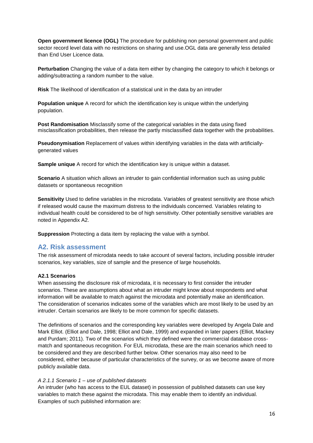**Open government licence (OGL)** The procedure for publishing non personal government and public sector record level data with no restrictions on sharing and use.OGL data are generally less detailed than End User Licence data.

**Perturbation** Changing the value of a data item either by changing the category to which it belongs or adding/subtracting a random number to the value.

**Risk** The likelihood of identification of a statistical unit in the data by an intruder

**Population unique** A record for which the identification key is unique within the underlying population.

**Post Randomisation** Misclassify some of the categorical variables in the data using fixed misclassification probabilities, then release the partly misclassified data together with the probabilities.

**Pseudonymisation** Replacement of values within identifying variables in the data with artificiallygenerated values

**Sample unique** A record for which the identification key is unique within a dataset.

**Scenario** A situation which allows an intruder to gain confidential information such as using public datasets or spontaneous recognition

**Sensitivity** Used to define variables in the microdata. Variables of greatest sensitivity are those which if released would cause the maximum distress to the individuals concerned. Variables relating to individual health could be considered to be of high sensitivity. Other potentially sensitive variables are noted in Appendix A2.

**Suppression** Protecting a data item by replacing the value with a symbol.

#### <span id="page-15-0"></span>**A2. Risk assessment**

The risk assessment of microdata needs to take account of several factors, including possible intruder scenarios, key variables, size of sample and the presence of large households.

#### **A2.1 Scenarios**

When assessing the disclosure risk of microdata, it is necessary to first consider the intruder scenarios. These are assumptions about what an intruder might know about respondents and what information will be available to match against the microdata and potentially make an identification. The consideration of scenarios indicates some of the variables which are most likely to be used by an intruder. Certain scenarios are likely to be more common for specific datasets.

The definitions of scenarios and the corresponding key variables were developed by Angela Dale and Mark Elliot. (Elliot and Dale, 1998; Elliot and Dale, 1999) and expanded in later papers (Elliot, Mackey and Purdam; 2011). Two of the scenarios which they defined were the commercial database crossmatch and spontaneous recognition. For EUL microdata, these are the main scenarios which need to be considered and they are described further below. Other scenarios may also need to be considered, either because of particular characteristics of the survey, or as we become aware of more publicly available data.

#### *A 2.1.1 Scenario 1 – use of published datasets*

An intruder (who has access to the EUL dataset) in possession of published datasets can use key variables to match these against the microdata. This may enable them to identify an individual. Examples of such published information are: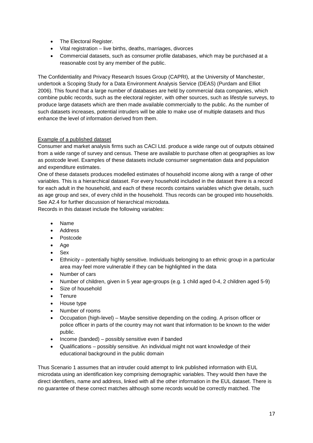- The Electoral Register.
- Vital registration live births, deaths, marriages, divorces
- Commercial datasets, such as consumer profile databases, which may be purchased at a reasonable cost by any member of the public.

The Confidentiality and Privacy Research Issues Group (CAPRI), at the University of Manchester, undertook a Scoping Study for a Data Environment Analysis Service (DEAS) (Purdam and Elliot 2006). This found that a large number of databases are held by commercial data companies, which combine public records, such as the electoral register, with other sources, such as lifestyle surveys, to produce large datasets which are then made available commercially to the public. As the number of such datasets increases, potential intruders will be able to make use of multiple datasets and thus enhance the level of information derived from them.

#### Example of a published dataset

Consumer and market analysis firms such as CACI Ltd. produce a wide range out of outputs obtained from a wide range of survey and census. These are available to purchase often at geographies as low as postcode level. Examples of these datasets include consumer segmentation data and population and expenditure estimates.

One of these datasets produces modelled estimates of household income along with a range of other variables. This is a hierarchical dataset. For every household included in the dataset there is a record for each adult in the household, and each of these records contains variables which give details, such as age group and sex, of every child in the household. Thus records can be grouped into households. See A2.4 for further discussion of hierarchical microdata.

Records in this dataset include the following variables:

- Name
- **Address**
- Postcode
- Age
- **Sex**
- Ethnicity potentially highly sensitive. Individuals belonging to an ethnic group in a particular area may feel more vulnerable if they can be highlighted in the data
- Number of cars
- Number of children, given in 5 year age-groups (e.g. 1 child aged 0-4, 2 children aged 5-9)
- Size of household
- **Tenure**
- House type
- Number of rooms
- Occupation (high-level) Maybe sensitive depending on the coding. A prison officer or police officer in parts of the country may not want that information to be known to the wider public.
- Income (banded) possibly sensitive even if banded
- Qualifications possibly sensitive. An individual might not want knowledge of their educational background in the public domain

Thus Scenario 1 assumes that an intruder could attempt to link published information with EUL microdata using an identification key comprising demographic variables. They would then have the direct identifiers, name and address, linked with all the other information in the EUL dataset. There is no guarantee of these correct matches although some records would be correctly matched. The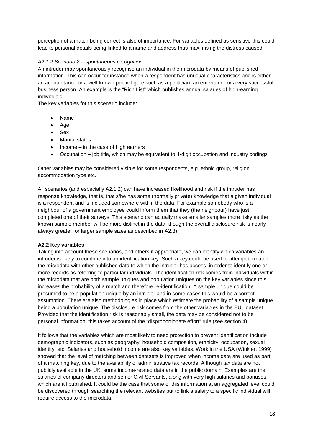perception of a match being correct is also of importance. For variables defined as sensitive this could lead to personal details being linked to a name and address thus maximising the distress caused.

#### *A2.1.2 Scenario 2 – spontaneous recognition*

An intruder may spontaneously recognise an individual in the microdata by means of published information. This can occur for instance when a respondent has unusual characteristics and is either an acquaintance or a well-known public figure such as a politician, an entertainer or a very successful business person. An example is the "Rich List" which publishes annual salaries of high-earning individuals.

The key variables for this scenario include:

- Name
- Age
- Sex
- Marital status
- $Income in the case of high carriers$
- Occupation job title, which may be equivalent to 4-digit occupation and industry codings

Other variables may be considered visible for some respondents, e.g. ethnic group, religion, accommodation type etc.

All scenarios (and especially A2.1.2) can have increased likelihood and risk if the intruder has response knowledge, that is, that s/he has some (normally private) knowledge that a given individual is a respondent and is included somewhere within the data. For example somebody who is a neighbour of a government employee could inform them that they (the neighbour) have just completed one of their surveys. This scenario can actually make smaller samples more risky as the known sample member will be more distinct in the data, though the overall disclosure risk is nearly always greater for larger sample sizes as described in A2.3).

#### **A2.2 Key variables**

Taking into account these scenarios, and others if appropriate, we can identify which variables an intruder is likely to combine into an identification key. Such a key could be used to attempt to match the microdata with other published data to which the intruder has access, in order to identify one or more records as referring to particular individuals. The identification risk comes from individuals within the microdata that are both sample uniques and population uniques on the key variables since this increases the probability of a match and therefore re-identification. A sample unique could be presumed to be a population unique by an intruder and in some cases this would be a correct assumption. There are also methodologies in place which estimate the probability of a sample unique being a population unique. The disclosure risk comes from the other variables in the EUL dataset. Provided that the identification risk is reasonably small, the data may be considered not to be personal information; this takes account of the "disproportionate effort" rule (see section 4)

It follows that the variables which are most likely to need protection to prevent identification include demographic indicators, such as geography, household composition, ethnicity, occupation, sexual identity, etc. Salaries and household income are also key variables. Work in the USA (Winkler, 1999) showed that the level of matching between datasets is improved when income data are used as part of a matching key, due to the availability of administrative tax records. Although tax data are not publicly available in the UK, some income-related data are in the public domain. Examples are the salaries of company directors and senior Civil Servants, along with very high salaries and bonuses, which are all published. It could be the case that some of this information at an aggregated level could be discovered through searching the relevant websites but to link a salary to a specific individual will require access to the microdata.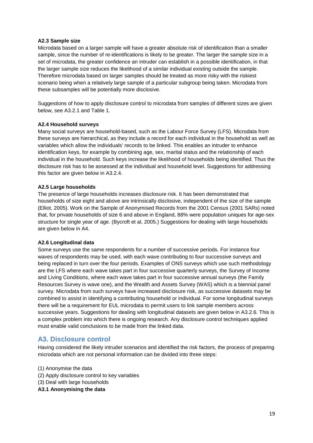#### **A2.3 Sample size**

Microdata based on a larger sample will have a greater absolute risk of identification than a smaller sample, since the number of re-identifications is likely to be greater. The larger the sample size in a set of microdata, the greater confidence an intruder can establish in a possible identification, in that the larger sample size reduces the likelihood of a similar individual existing outside the sample. Therefore microdata based on larger samples should be treated as more risky with the riskiest scenario being when a relatively large sample of a particular subgroup being taken. Microdata from these subsamples will be potentially more disclosive.

Suggestions of how to apply disclosure control to microdata from samples of different sizes are given below, see A3.2.1 and Table 1.

#### **A2.4 Household surveys**

Many social surveys are household-based, such as the Labour Force Survey (LFS). Microdata from these surveys are hierarchical, as they include a record for each individual in the household as well as variables which allow the individuals' records to be linked. This enables an intruder to enhance identification keys, for example by combining age, sex, marital status and the relationship of each individual in the household. Such keys increase the likelihood of households being identified. Thus the disclosure risk has to be assessed at the individual and household level. Suggestions for addressing this factor are given below in A3.2.4.

#### **A2.5 Large households**

The presence of large households increases disclosure risk. It has been demonstrated that households of size eight and above are intrinsically disclosive, independent of the size of the sample (Elliot, 2005). Work on the Sample of Anonymised Records from the 2001 Census (2001 SARs) noted that, for private households of size 6 and above in England, 88% were population uniques for age-sex structure for single year of age. (Bycroft et al, 2005.) Suggestions for dealing with large households are given below in A4.

#### **A2.6 Longitudinal data**

Some surveys use the same respondents for a number of successive periods. For instance four waves of respondents may be used, with each wave contributing to four successive surveys and being replaced in turn over the four periods. Examples of ONS surveys which use such methodology are the LFS where each wave takes part in four successive quarterly surveys, the Survey of Income and Living Conditions, where each wave takes part in four successive annual surveys (the Family Resources Survey is wave one), and the Wealth and Assets Survey (WAS) which is a biennial panel survey. Microdata from such surveys have increased disclosure risk, as successive datasets may be combined to assist in identifying a contributing household or individual. For some longitudinal surveys there will be a requirement for EUL microdata to permit users to link sample members across successive years. Suggestions for dealing with longitudinal datasets are given below in A3.2.6. This is a complex problem into which there is ongoing research. Any disclosure control techniques applied must enable valid conclusions to be made from the linked data.

## <span id="page-18-0"></span>**A3. Disclosure control**

Having considered the likely intruder scenarios and identified the risk factors, the process of preparing microdata which are not personal information can be divided into three steps:

- (1) Anonymise the data
- (2) Apply disclosure control to key variables
- (3) Deal with large households
- **A3.1 Anonymising the data**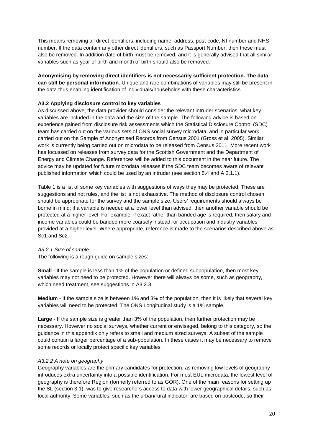This means removing all direct identifiers, including name, address, post-code, NI number and NHS number. If the data contain any other direct identifiers, such as Passport Number, then these must also be removed. In addition date of birth must be removed, and it is generally advised that all similar variables such as year of birth and month of birth should also be removed.

#### **Anonymising by removing direct identifiers is not necessarily sufficient protection. The data can still be personal information**. Unique and rare combinations of variables may still be present in the data thus enabling identification of individuals/households with these characteristics.

#### **A3.2 Applying disclosure control to key variables**

As discussed above, the data provider should consider the relevant intruder scenarios, what key variables are included in the data and the size of the sample. The following advice is based on experience gained from disclosure risk assessments which the Statistical Disclosure Control (SDC) team has carried out on the various sets of ONS social survey microdata, and in particular work carried out on the Sample of Anonymised Records from Census 2001 (Gross et al, 2005). Similar work is currently being carried out on microdata to be released from Census 2011. More recent work has focussed on releases from survey data for the Scottish Government and the Department of Energy and Climate Change. References will be added to this document in the near future. The advice may be updated for future microdata releases if the SDC team becomes aware of relevant published information which could be used by an intruder (see section 5.4 and A 2.1.1).

Table 1 is a list of some key variables with suggestions of ways they may be protected. These are suggestions and not rules, and the list is not exhaustive. The method of disclosure control chosen should be appropriate for the survey and the sample size. Users' requirements should always be borne in mind; if a variable is needed at a lower level than advised, then another variable should be protected at a higher level. For example, if exact rather than banded age is required, then salary and income variables could be banded more coarsely instead, or occupation and industry variables provided at a higher level. Where appropriate, reference is made to the scenarios described above as Sc1 and Sc2.

#### *A3.2.1 Size of sample*

The following is a rough guide on sample sizes:

**Small** - If the sample is less than 1% of the population or defined subpopulation, then most key variables may not need to be protected. However there will always be some, such as geography, which need treatment, see suggestions in A3.2.3.

**Medium** - If the sample size is between 1% and 3% of the population, then it is likely that several key variables will need to be protected. The ONS Longitudinal study is a 1% sample.

**Large** - If the sample size is greater than 3% of the population, then further protection may be necessary. However no social surveys, whether current or envisaged, belong to this category, so the guidance in this appendix only refers to small and medium sized surveys. A subset of the sample could contain a larger percentage of a sub-population. In these cases it may be necessary to remove some records or locally protect specific key variables.

#### *A3.2.2 A note on geography*

Geography variables are the primary candidates for protection, as removing low levels of geography introduces extra uncertainty into a possible identification. For most EUL microdata, the lowest level of geography is therefore Region (formerly referred to as GOR). One of the main reasons for setting up the SL (section 3.1), was to give researchers access to data with lower geographical details, such as local authority. Some variables, such as the urban/rural indicator, are based on postcode, so their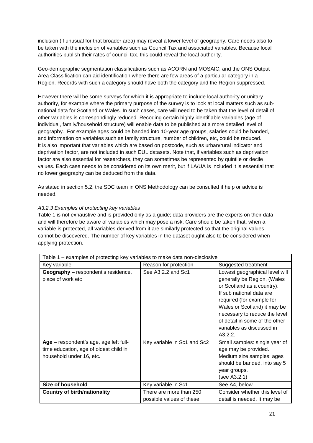inclusion (if unusual for that broader area) may reveal a lower level of geography. Care needs also to be taken with the inclusion of variables such as Council Tax and associated variables. Because local authorities publish their rates of council tax, this could reveal the local authority.

Geo-demographic segmentation classifications such as ACORN and MOSAIC, and the ONS Output Area Classification can aid identification where there are few areas of a particular category in a Region. Records with such a category should have both the category and the Region suppressed.

However there will be some surveys for which it is appropriate to include local authority or unitary authority, for example where the primary purpose of the survey is to look at local matters such as subnational data for Scotland or Wales. In such cases, care will need to be taken that the level of detail of other variables is correspondingly reduced. Recoding certain highly identifiable variables (age of individual, family/household structure) will enable data to be published at a more detailed level of geography. For example ages could be banded into 10-year age groups, salaries could be banded, and information on variables such as family structure, number of children, etc, could be reduced. It is also important that variables which are based on postcode, such as urban/rural indicator and deprivation factor, are not included in such EUL datasets. Note that, if variables such as deprivation factor are also essential for researchers, they can sometimes be represented by quintile or decile values. Each case needs to be considered on its own merit, but if LA/UA is included it is essential that no lower geography can be deduced from the data.

As stated in section 5.2, the SDC team in ONS Methodology can be consulted if help or advice is needed.

#### *A3.2.3 Examples of protecting key variables*

Table 1 is not exhaustive and is provided only as a guide; data providers are the experts on their data and will therefore be aware of variables which may pose a risk. Care should be taken that, when a variable is protected, all variables derived from it are similarly protected so that the original values cannot be discovered. The number of key variables in the dataset ought also to be considered when applying protection.

| Table 1 – examples of protecting key variables to make data non-disclosive                                   |                                                     |                                                                                                                                                                                                                                                                                                 |  |  |
|--------------------------------------------------------------------------------------------------------------|-----------------------------------------------------|-------------------------------------------------------------------------------------------------------------------------------------------------------------------------------------------------------------------------------------------------------------------------------------------------|--|--|
| Key variable                                                                                                 | Reason for protection                               | Suggested treatment                                                                                                                                                                                                                                                                             |  |  |
| <b>Geography</b> – respondent's residence,<br>place of work etc                                              | See A3.2.2 and Sc1                                  | Lowest geographical level will<br>generally be Region, (Wales<br>or Scotland as a country).<br>If sub national data are<br>required (for example for<br>Wales or Scotland) it may be<br>necessary to reduce the level<br>of detail in some of the other<br>variables as discussed in<br>A3.2.2. |  |  |
| Age - respondent's age, age left full-<br>time education, age of oldest child in<br>household under 16, etc. | Key variable in Sc1 and Sc2                         | Small samples: single year of<br>age may be provided.<br>Medium size samples: ages<br>should be banded, into say 5<br>year groups.<br>(see A3.2.1)                                                                                                                                              |  |  |
| <b>Size of household</b>                                                                                     | Key variable in Sc1                                 | See A4, below.                                                                                                                                                                                                                                                                                  |  |  |
| <b>Country of birth/nationality</b>                                                                          | There are more than 250<br>possible values of these | Consider whether this level of<br>detail is needed. It may be                                                                                                                                                                                                                                   |  |  |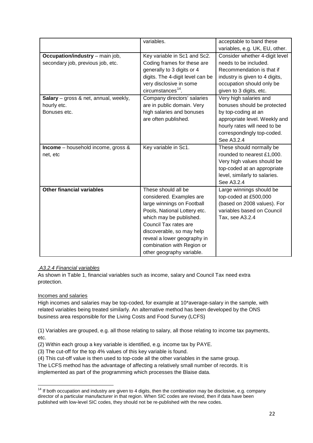|                                        | variables.                       | acceptable to band these       |
|----------------------------------------|----------------------------------|--------------------------------|
|                                        |                                  | variables, e.g. UK, EU, other. |
| <b>Occupation/industry</b> – main job, | Key variable in Sc1 and Sc2.     | Consider whether 4-digit level |
| secondary job, previous job, etc.      | Coding frames for these are      | needs to be included.          |
|                                        | generally to 3 digits or 4       | Recommendation is that if      |
|                                        | digits. The 4-digit level can be | industry is given to 4 digits, |
|                                        | very disclosive in some          | occupation should only be      |
|                                        | $circumstances14$ .              | given to 3 digits, etc.        |
| Salary - gross & net, annual, weekly,  | Company directors' salaries      | Very high salaries and         |
| hourly etc.                            | are in public domain. Very       | bonuses should be protected    |
| Bonuses etc.                           | high salaries and bonuses        | by top-coding at an            |
|                                        | are often published.             | appropriate level. Weekly and  |
|                                        |                                  | hourly rates will need to be   |
|                                        |                                  | correspondingly top-coded.     |
|                                        |                                  | See A3.2.4                     |
| Income - household income, gross &     | Key variable in Sc1.             | These should normally be       |
| net, etc                               |                                  | rounded to nearest £1,000.     |
|                                        |                                  | Very high values should be     |
|                                        |                                  | top-coded at an appropriate    |
|                                        |                                  | level, similarly to salaries.  |
|                                        |                                  | See A3.2.4                     |
| <b>Other financial variables</b>       | These should all be              | Large winnings should be       |
|                                        | considered. Examples are         | top-coded at £500,000          |
|                                        | large winnings on Football       | (based on 2008 values). For    |
|                                        | Pools, National Lottery etc.     | variables based on Council     |
|                                        | which may be published.          | Tax, see A3.2.4                |
|                                        | Council Tax rates are            |                                |
|                                        | discoverable, so may help        |                                |
|                                        | reveal a lower geography in      |                                |
|                                        | combination with Region or       |                                |
|                                        | other geography variable.        |                                |

#### *A3.2.4 Financial variables*

As shown in Table 1, financial variables such as income, salary and Council Tax need extra protection.

#### Incomes and salaries

.<br>-

High incomes and salaries may be top-coded, for example at 10\*average-salary in the sample, with related variables being treated similarly. An alternative method has been developed by the ONS business area responsible for the Living Costs and Food Survey (LCFS)

(1) Variables are grouped, e.g. all those relating to salary, all those relating to income tax payments, etc.

- (2) Within each group a key variable is identified, e.g. income tax by PAYE.
- (3) The cut-off for the top 4% values of this key variable is found.

(4) This cut-off value is then used to top-code all the other variables in the same group.

The LCFS method has the advantage of affecting a relatively small number of records. It is implemented as part of the programming which processes the Blaise data.

<span id="page-21-0"></span> $14$  If both occupation and industry are given to 4 digits, then the combination may be disclosive, e.g. company director of a particular manufacturer in that region. When SIC codes are revised, then if data have been published with low-level SIC codes, they should not be re-published with the new codes.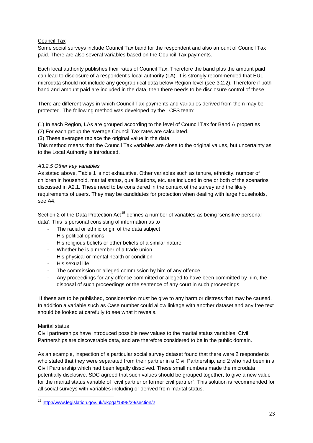#### Council Tax

Some social surveys include Council Tax band for the respondent and also amount of Council Tax paid. There are also several variables based on the Council Tax payments.

Each local authority publishes their rates of Council Tax. Therefore the band plus the amount paid can lead to disclosure of a respondent's local authority (LA). It is strongly recommended that EUL microdata should not include any geographical data below Region level (see 3.2.2). Therefore if both band and amount paid are included in the data, then there needs to be disclosure control of these.

There are different ways in which Council Tax payments and variables derived from them may be protected. The following method was developed by the LCFS team:

(1) In each Region, LAs are grouped according to the level of Council Tax for Band A properties

(2) For each group the average Council Tax rates are calculated.

(3) These averages replace the original value in the data.

This method means that the Council Tax variables are close to the original values, but uncertainty as to the Local Authority is introduced.

#### *A3.2.5 Other key variables*

As stated above, Table 1 is not exhaustive. Other variables such as tenure, ethnicity, number of children in household, marital status, qualifications, etc. are included in one or both of the scenarios discussed in A2.1. These need to be considered in the context of the survey and the likely requirements of users. They may be candidates for protection when dealing with large households, see A4.

Section 2 of the Data Protection Act<sup>[15](#page-22-0)</sup> defines a number of variables as being 'sensitive personal data'. This is personal consisting of information as to

- The racial or ethnic origin of the data subject
- His political opinions
- His religious beliefs or other beliefs of a similar nature
- Whether he is a member of a trade union
- His physical or mental health or condition
- His sexual life
- The commission or alleged commission by him of any offence
- Any proceedings for any offence committed or alleged to have been committed by him, the disposal of such proceedings or the sentence of any court in such proceedings

If these are to be published, consideration must be give to any harm or distress that may be caused. In addition a variable such as Case number could allow linkage with another dataset and any free text should be looked at carefully to see what it reveals.

#### Marital status

<u>.</u>

Civil partnerships have introduced possible new values to the marital status variables. Civil Partnerships are discoverable data, and are therefore considered to be in the public domain.

As an example, inspection of a particular social survey dataset found that there were 2 respondents who stated that they were separated from their partner in a Civil Partnership, and 2 who had been in a Civil Partnership which had been legally dissolved. These small numbers made the microdata potentially disclosive. SDC agreed that such values should be grouped together, to give a new value for the marital status variable of "civil partner or former civil partner". This solution is recommended for all social surveys with variables including or derived from marital status.

<span id="page-22-0"></span><sup>&</sup>lt;sup>15</sup> <http://www.legislation.gov.uk/ukpga/1998/29/section/2>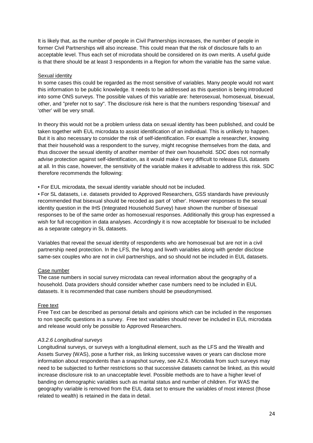It is likely that, as the number of people in Civil Partnerships increases, the number of people in former Civil Partnerships will also increase. This could mean that the risk of disclosure falls to an acceptable level. Thus each set of microdata should be considered on its own merits. A useful guide is that there should be at least 3 respondents in a Region for whom the variable has the same value.

#### Sexual identity

In some cases this could be regarded as the most sensitive of variables. Many people would not want this information to be public knowledge. It needs to be addressed as this question is being introduced into some ONS surveys. The possible values of this variable are: heterosexual, homosexual, bisexual, other, and "prefer not to say". The disclosure risk here is that the numbers responding 'bisexual' and 'other' will be very small.

In theory this would not be a problem unless data on sexual identity has been published, and could be taken together with EUL microdata to assist identification of an individual. This is unlikely to happen. But it is also necessary to consider the risk of self-identification. For example a researcher, knowing that their household was a respondent to the survey, might recognise themselves from the data, and thus discover the sexual identity of another member of their own household. SDC does not normally advise protection against self-identification, as it would make it very difficult to release EUL datasets at all. In this case, however, the sensitivity of the variable makes it advisable to address this risk. SDC therefore recommends the following:

• For EUL microdata, the sexual identity variable should not be included.

• For SL datasets, i.e. datasets provided to Approved Researchers, GSS standards have previously recommended that bisexual should be recoded as part of 'other'. However responses to the sexual identity question in the IHS (Integrated Household Survey) have shown the number of bisexual responses to be of the same order as homosexual responses. Additionally this group has expressed a wish for full recognition in data analyses. Accordingly it is now acceptable for bisexual to be included as a separate category in SL datasets.

Variables that reveal the sexual identity of respondents who are homosexual but are not in a civil partnership need protection. In the LFS, the livtog and livwth variables along with gender disclose same-sex couples who are not in civil partnerships, and so should not be included in EUL datasets.

#### Case number

The case numbers in social survey microdata can reveal information about the geography of a household. Data providers should consider whether case numbers need to be included in EUL datasets. It is recommended that case numbers should be pseudonymised.

#### Free text

Free Text can be described as personal details and opinions which can be included in the responses to non specific questions in a survey. Free text variables should never be included in EUL microdata and release would only be possible to Approved Researchers.

#### *A3.2.6 Longitudinal surveys*

Longitudinal surveys, or surveys with a longitudinal element, such as the LFS and the Wealth and Assets Survey (WAS), pose a further risk, as linking successive waves or years can disclose more information about respondents than a snapshot survey, see A2.6. Microdata from such surveys may need to be subjected to further restrictions so that successive datasets cannot be linked, as this would increase disclosure risk to an unacceptable level. Possible methods are to have a higher level of banding on demographic variables such as marital status and number of children. For WAS the geography variable is removed from the EUL data set to ensure the variables of most interest (those related to wealth) is retained in the data in detail.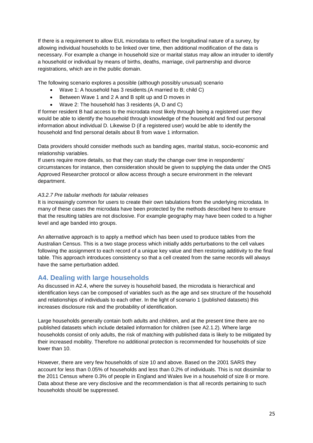If there is a requirement to allow EUL microdata to reflect the longitudinal nature of a survey, by allowing individual households to be linked over time, then additional modification of the data is necessary. For example a change in household size or marital status may allow an intruder to identify a household or individual by means of births, deaths, marriage, civil partnership and divorce registrations, which are in the public domain.

The following scenario explores a possible (although possibly unusual) scenario

- Wave 1: A household has 3 residents.(A married to B; child C)
- Between Wave 1 and 2 A and B split up and D moves in
- Wave 2: The household has 3 residents (A, D and C)

If former resident B had access to the microdata most likely through being a registered user they would be able to identify the household through knowledge of the household and find out personal information about individual D. Likewise D (if a registered user) would be able to identify the household and find personal details about B from wave 1 information.

Data providers should consider methods such as banding ages, marital status, socio-economic and relationship variables.

If users require more details, so that they can study the change over time in respondents' circumstances for instance, then consideration should be given to supplying the data under the ONS Approved Researcher protocol or allow access through a secure environment in the relevant department.

#### *A3.2.7 Pre tabular methods for tabular releases*

It is increasingly common for users to create their own tabulations from the underlying microdata. In many of these cases the microdata have been protected by the methods described here to ensure that the resulting tables are not disclosive. For example geography may have been coded to a higher level and age banded into groups.

An alternative approach is to apply a method which has been used to produce tables from the Australian Census. This is a two stage process which initially adds perturbations to the cell values following the assignment to each record of a unique key value and then restoring additivity to the final table. This approach introduces consistency so that a cell created from the same records will always have the same perturbation added.

## <span id="page-24-0"></span>**A4. Dealing with large households**

As discussed in A2.4, where the survey is household based, the microdata is hierarchical and identification keys can be composed of variables such as the age and sex structure of the household and relationships of individuals to each other. In the light of scenario 1 (published datasets) this increases disclosure risk and the probability of identification.

Large households generally contain both adults and children, and at the present time there are no published datasets which include detailed information for children (see A2.1.2). Where large households consist of only adults, the risk of matching with published data is likely to be mitigated by their increased mobility. Therefore no additional protection is recommended for households of size lower than 10.

However, there are very few households of size 10 and above. Based on the 2001 SARS they account for less than 0.05% of households and less than 0.2% of individuals. This is not dissimilar to the 2011 Census where 0.3% of people in England and Wales live in a household of size 8 or more. Data about these are very disclosive and the recommendation is that all records pertaining to such households should be suppressed.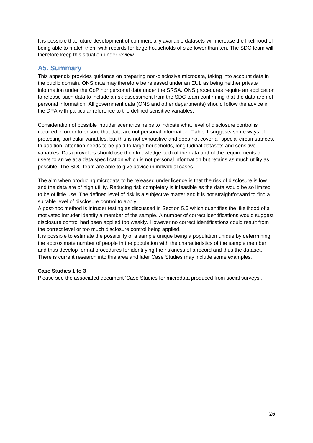It is possible that future development of commercially available datasets will increase the likelihood of being able to match them with records for large households of size lower than ten. The SDC team will therefore keep this situation under review.

## <span id="page-25-0"></span>**A5. Summary**

This appendix provides guidance on preparing non-disclosive microdata, taking into account data in the public domain. ONS data may therefore be released under an EUL as being neither private information under the CoP nor personal data under the SRSA. ONS procedures require an application to release such data to include a risk assessment from the SDC team confirming that the data are not personal information. All government data (ONS and other departments) should follow the advice in the DPA with particular reference to the defined sensitive variables.

Consideration of possible intruder scenarios helps to indicate what level of disclosure control is required in order to ensure that data are not personal information. Table 1 suggests some ways of protecting particular variables, but this is not exhaustive and does not cover all special circumstances. In addition, attention needs to be paid to large households, longitudinal datasets and sensitive variables. Data providers should use their knowledge both of the data and of the requirements of users to arrive at a data specification which is not personal information but retains as much utility as possible. The SDC team are able to give advice in individual cases.

The aim when producing microdata to be released under licence is that the risk of disclosure is low and the data are of high utility. Reducing risk completely is infeasible as the data would be so limited to be of little use. The defined level of risk is a subjective matter and it is not straightforward to find a suitable level of disclosure control to apply.

A post-hoc method is intruder testing as discussed in Section 5.6 which quantifies the likelihood of a motivated intruder identify a member of the sample. A number of correct identifications would suggest disclosure control had been applied too weakly. However no correct identifications could result from the correct level or too much disclosure control being applied.

It is possible to estimate the possibility of a sample unique being a population unique by determining the approximate number of people in the population with the characteristics of the sample member and thus develop formal procedures for identifying the riskiness of a record and thus the dataset. There is current research into this area and later Case Studies may include some examples.

#### **Case Studies 1 to 3**

Please see the associated document 'Case Studies for microdata produced from social surveys'.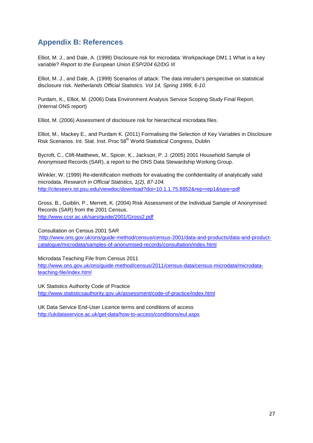# <span id="page-26-0"></span>**Appendix B: References**

Elliot, M. J., and Dale, A. (1998) Disclosure risk for microdata: Workpackage DM1.1 What is a key variable? *Report to the European Union ESP/204 62/DG III* 

Elliot, M. J., and Dale, A. (1999) Scenarios of attack: The data intruder's perspective on statistical disclosure risk. *Netherlands Official Statistics. Vol 14, Spring 1999, 6-10.* 

Purdam, K., Elliot, M. (2006) Data Environment Analysis Service Scoping Study Final Report. (Internal ONS report)

Elliot, M. (2006) Assessment of disclosure risk for hierarchical microdata files.

Elliot, M., Mackey E., and Purdam K. (2011) Formalising the Selection of Key Variables in Disclosure Risk Scenarios. Int. Stat. Inst. Proc 58<sup>th</sup> World Statistical Congress, Dublin

Bycroft, C., Clift-Matthews, M., Spicer, K., Jackson, P. J. (2005) 2001 Household Sample of Anonymised Records (SAR), a report to the ONS Data Stewardship Working Group.

Winkler, W. (1999) Re-identification methods for evaluating the confidentiality of analytically valid microdata, *Research in Official Statistics, 1(2), 87-104.*  <http://citeseerx.ist.psu.edu/viewdoc/download?doi=10.1.1.75.8852&rep=rep1&type=pdf>

Gross, B., Guiblin, P., Merrett, K. (2004) Risk Assessment of the Individual Sample of Anonymised Records (SAR) from the 2001 Census. <http://www.ccsr.ac.uk/sars/guide/2001/Gross2.pdf>

Consultation on Census 2001 SAR [http://www.ons.gov.uk/ons/guide-method/census/census-2001/data-and-products/data-and-product](http://www.ons.gov.uk/ons/guide-method/census/census-2001/data-and-products/data-and-product-catalogue/microdata/samples-of-anonymised-records/consultation/index.html)[catalogue/microdata/samples-of-anonymised-records/consultation/index.html](http://www.ons.gov.uk/ons/guide-method/census/census-2001/data-and-products/data-and-product-catalogue/microdata/samples-of-anonymised-records/consultation/index.html)

Microdata Teaching File from Census 2011 [http://www.ons.gov.uk/ons/guide-method/census/2011/census-data/census-microdata/microdata](http://www.ons.gov.uk/ons/guide-method/census/2011/census-data/census-microdata/microdata-teaching-file/index.html)[teaching-file/index.html](http://www.ons.gov.uk/ons/guide-method/census/2011/census-data/census-microdata/microdata-teaching-file/index.html)

UK Statistics Authority Code of Practice <http://www.statisticsauthority.gov.uk/assessment/code-of-practice/index.html>

UK Data Service End-User Licence terms and conditions of access <http://ukdataservice.ac.uk/get-data/how-to-access/conditions/eul.aspx>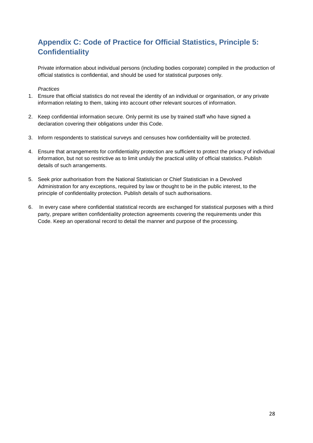# <span id="page-27-0"></span>**Appendix C: Code of Practice for Official Statistics, Principle 5: Confidentiality**

Private information about individual persons (including bodies corporate) compiled in the production of official statistics is confidential, and should be used for statistical purposes only.

#### *Practices*

- 1. Ensure that official statistics do not reveal the identity of an individual or organisation, or any private information relating to them, taking into account other relevant sources of information.
- 2. Keep confidential information secure. Only permit its use by trained staff who have signed a declaration covering their obligations under this Code.
- 3. Inform respondents to statistical surveys and censuses how confidentiality will be protected.
- 4. Ensure that arrangements for confidentiality protection are sufficient to protect the privacy of individual information, but not so restrictive as to limit unduly the practical utility of official statistics. Publish details of such arrangements.
- 5. Seek prior authorisation from the National Statistician or Chief Statistician in a Devolved Administration for any exceptions, required by law or thought to be in the public interest, to the principle of confidentiality protection. Publish details of such authorisations.
- 6. In every case where confidential statistical records are exchanged for statistical purposes with a third party, prepare written confidentiality protection agreements covering the requirements under this Code. Keep an operational record to detail the manner and purpose of the processing.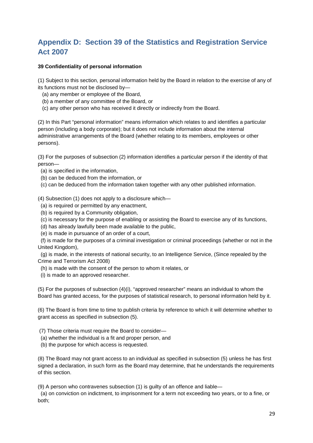# <span id="page-28-0"></span>**Appendix D: Section 39 of the Statistics and Registration Service Act 2007**

#### **39 Confidentiality of personal information**

(1) Subject to this section, personal information held by the Board in relation to the exercise of any of its functions must not be disclosed by—

- (a) any member or employee of the Board,
- (b) a member of any committee of the Board, or
- (c) any other person who has received it directly or indirectly from the Board.

(2) In this Part "personal information" means information which relates to and identifies a particular person (including a body corporate); but it does not include information about the internal administrative arrangements of the Board (whether relating to its members, employees or other persons).

(3) For the purposes of subsection (2) information identifies a particular person if the identity of that person—

- (a) is specified in the information,
- (b) can be deduced from the information, or
- (c) can be deduced from the information taken together with any other published information.

(4) Subsection (1) does not apply to a disclosure which—

- (a) is required or permitted by any enactment,
- (b) is required by a Community obligation,
- (c) is necessary for the purpose of enabling or assisting the Board to exercise any of its functions,
- (d) has already lawfully been made available to the public,
- (e) is made in pursuance of an order of a court,

 (f) is made for the purposes of a criminal investigation or criminal proceedings (whether or not in the United Kingdom),

 (g) is made, in the interests of national security, to an Intelligence Service, (Since repealed by the Crime and Terrorism Act 2008)

- (h) is made with the consent of the person to whom it relates, or
- (i) is made to an approved researcher.

(5) For the purposes of subsection (4)(i), "approved researcher" means an individual to whom the Board has granted access, for the purposes of statistical research, to personal information held by it.

(6) The Board is from time to time to publish criteria by reference to which it will determine whether to grant access as specified in subsection (5).

- (7) Those criteria must require the Board to consider—
- (a) whether the individual is a fit and proper person, and
- (b) the purpose for which access is requested.

(8) The Board may not grant access to an individual as specified in subsection (5) unless he has first signed a declaration, in such form as the Board may determine, that he understands the requirements of this section.

(9) A person who contravenes subsection (1) is guilty of an offence and liable—

 (a) on conviction on indictment, to imprisonment for a term not exceeding two years, or to a fine, or both;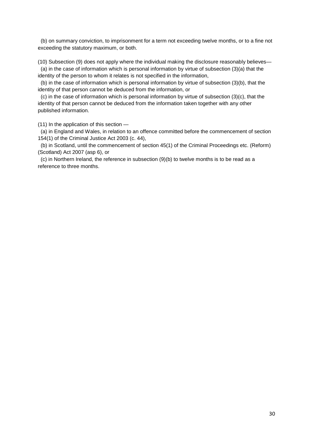(b) on summary conviction, to imprisonment for a term not exceeding twelve months, or to a fine not exceeding the statutory maximum, or both.

(10) Subsection (9) does not apply where the individual making the disclosure reasonably believes—

 (a) in the case of information which is personal information by virtue of subsection (3)(a) that the identity of the person to whom it relates is not specified in the information,

 (b) in the case of information which is personal information by virtue of subsection (3)(b), that the identity of that person cannot be deduced from the information, or

 (c) in the case of information which is personal information by virtue of subsection (3)(c), that the identity of that person cannot be deduced from the information taken together with any other published information.

(11) In the application of this section —

 (a) in England and Wales, in relation to an offence committed before the commencement of section 154(1) of the Criminal Justice Act 2003 (c. 44),

(b) in Scotland, until the commencement of section 45(1) of the Criminal Proceedings etc. (Reform) (Scotland) Act 2007 (asp 6), or

 (c) in Northern Ireland, the reference in subsection (9)(b) to twelve months is to be read as a reference to three months.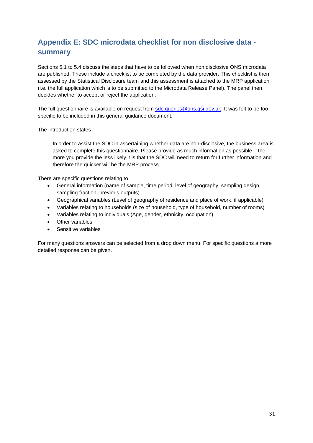# <span id="page-30-0"></span>**Appendix E: SDC microdata checklist for non disclosive data summary**

Sections 5.1 to 5.4 discuss the steps that have to be followed when non disclosive ONS microdata are published. These include a checklist to be completed by the data provider. This checklist is then assessed by the Statistical Disclosure team and this assessment is attached to the MRP application (i.e. the full application which is to be submitted to the Microdata Release Panel). The panel then decides whether to accept or reject the application.

The full questionnaire is available on request from [sdc.queries@ons.gsi.gov.uk.](mailto:sdc.queries@ons.gsi.gov.uk) It was felt to be too specific to be included in this general guidance document.

The introduction states

In order to assist the SDC in ascertaining whether data are non-disclosive, the business area is asked to complete this questionnaire. Please provide as much information as possible – the more you provide the less likely it is that the SDC will need to return for further information and therefore the quicker will be the MRP process.

There are specific questions relating to

- General information (name of sample, time period, level of geography, sampling design, sampling fraction, previous outputs)
- Geographical variables (Level of geography of residence and place of work, if applicable)
- Variables relating to households (size of household, type of household, number of rooms)
- Variables relating to individuals (Age, gender, ethnicity, occupation)
- Other variables
- Sensitive variables

For many questions answers can be selected from a drop down menu. For specific questions a more detailed response can be given.